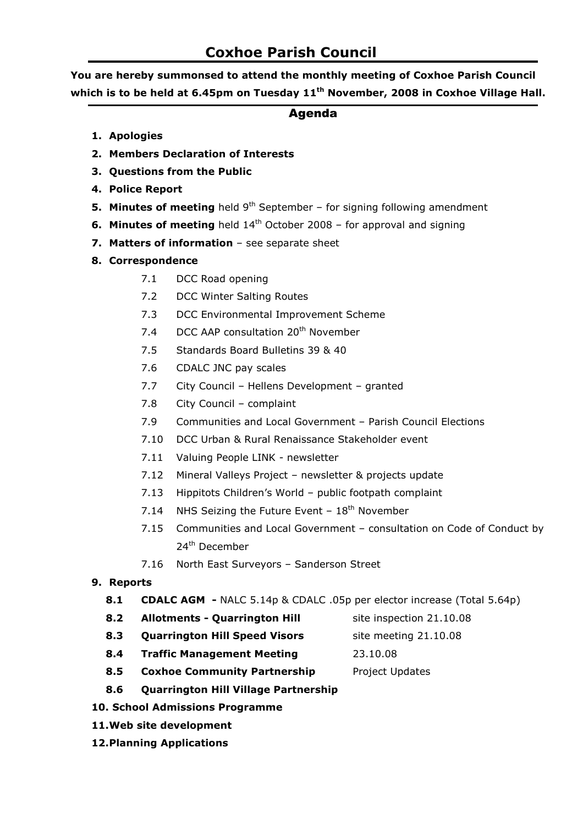# Coxhoe Parish Council

You are hereby summonsed to attend the monthly meeting of Coxhoe Parish Council which is to be held at 6.45pm on Tuesday 11<sup>th</sup> November, 2008 in Coxhoe Village Hall.

## Agenda

- 1. Apologies
- 2. Members Declaration of Interests
- 3. Questions from the Public
- 4. Police Report
- **5. Minutes of meeting** held  $9<sup>th</sup>$  September for signing following amendment
- **6. Minutes of meeting** held  $14<sup>th</sup>$  October 2008 for approval and signing
- 7. Matters of information see separate sheet
- 8. Correspondence
	- 7.1 DCC Road opening
	- 7.2 DCC Winter Salting Routes
	- 7.3 DCC Environmental Improvement Scheme
	- 7.4 DCC AAP consultation 20<sup>th</sup> November
	- 7.5 Standards Board Bulletins 39 & 40
	- 7.6 CDALC JNC pay scales
	- 7.7 City Council Hellens Development granted
	- 7.8 City Council complaint
	- 7.9 Communities and Local Government Parish Council Elections
	- 7.10 DCC Urban & Rural Renaissance Stakeholder event
	- 7.11 Valuing People LINK newsletter
	- 7.12 Mineral Valleys Project newsletter & projects update
	- 7.13 Hippitots Children's World public footpath complaint
	- 7.14 NHS Seizing the Future Event  $18<sup>th</sup>$  November
	- 7.15 Communities and Local Government consultation on Code of Conduct by 24<sup>th</sup> December
	- 7.16 North East Surveyors Sanderson Street

#### 9. Reports

- 8.1 CDALC AGM NALC 5.14p & CDALC .05p per elector increase (Total 5.64p)
- 8.2 Allotments Quarrington Hill site inspection 21.10.08
	-
- 8.3 **Quarrington Hill Speed Visors** site meeting 21.10.08
- 8.4 Traffic Management Meeting 23.10.08
- 8.5 Coxhoe Community Partnership Project Updates
- 8.6 Quarrington Hill Village Partnership
- 10. School Admissions Programme
- 11.Web site development
- 12.Planning Applications